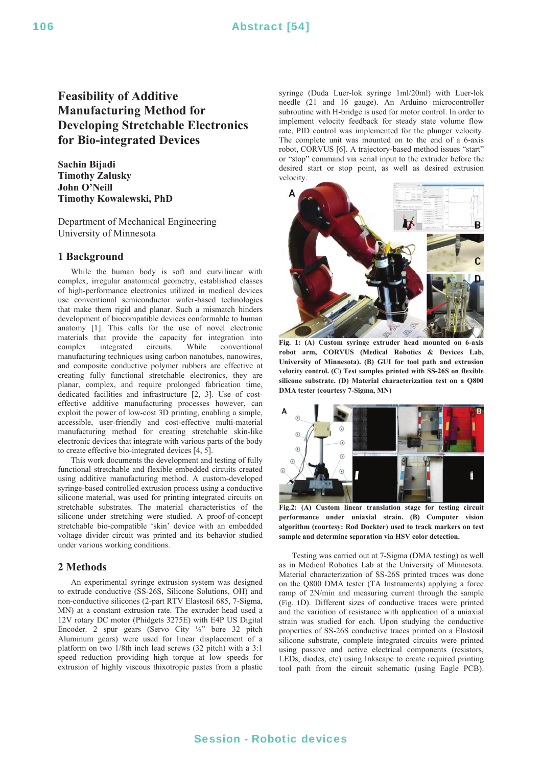# 106 **Abstract** [54]

# **Feasibility of Additive Manufacturing Method for Developing Stretchable Electronics for Bio-integrated Devices**

**Sachin Bijadi Timothy Zalusky John O'Neill Timothy Kowalewski, PhD** 

Department of Mechanical Engineering University of Minnesota

## **1 Background**

 While the human body is soft and curvilinear with complex, irregular anatomical geometry, established classes of high-performance electronics utilized in medical devices use conventional semiconductor wafer-based technologies that make them rigid and planar. Such a mismatch hinders development of biocompatible devices conformable to human anatomy [1]. This calls for the use of novel electronic materials that provide the capacity for integration into complex integrated circuits. While conventional manufacturing techniques using carbon nanotubes, nanowires, and composite conductive polymer rubbers are effective at creating fully functional stretchable electronics, they are planar, complex, and require prolonged fabrication time, dedicated facilities and infrastructure [2, 3]. Use of costeffective additive manufacturing processes however, can exploit the power of low-cost 3D printing, enabling a simple, accessible, user-friendly and cost-effective multi-material manufacturing method for creating stretchable skin-like electronic devices that integrate with various parts of the body to create effective bio-integrated devices [4, 5].

 This work documents the development and testing of fully functional stretchable and flexible embedded circuits created using additive manufacturing method. A custom-developed syringe-based controlled extrusion process using a conductive silicone material, was used for printing integrated circuits on stretchable substrates. The material characteristics of the silicone under stretching were studied. A proof-of-concept stretchable bio-compatible 'skin' device with an embedded voltage divider circuit was printed and its behavior studied under various working conditions.

### **2 Methods**

 An experimental syringe extrusion system was designed to extrude conductive (SS-26S, Silicone Solutions, OH) and non-conductive silicones (2-part RTV Elastosil 685, 7-Sigma, MN) at a constant extrusion rate. The extruder head used a 12V rotary DC motor (Phidgets 3275E) with E4P US Digital Encoder. 2 spur gears (Servo City ½" bore 32 pitch Aluminum gears) were used for linear displacement of a platform on two 1/8th inch lead screws (32 pitch) with a 3:1 speed reduction providing high torque at low speeds for extrusion of highly viscous thixotropic pastes from a plastic syringe (Duda Luer-lok syringe 1ml/20ml) with Luer-lok needle (21 and 16 gauge). An Arduino microcontroller subroutine with H-bridge is used for motor control. In order to implement velocity feedback for steady state volume flow rate, PID control was implemented for the plunger velocity. The complete unit was mounted on to the end of a 6-axis robot, CORVUS [6]. A trajectory-based method issues "start" or "stop" command via serial input to the extruder before the desired start or stop point, as well as desired extrusion velocity.



**Fig. 1: (A) Custom syringe extruder head mounted on 6-axis robot arm, CORVUS (Medical Robotics & Devices Lab, University of Minnesota). (B) GUI for tool path and extrusion velocity control. (C) Test samples printed with SS-26S on flexible silicone substrate. (D) Material characterization test on a Q800 DMA tester (courtesy 7-Sigma, MN)** 



**Fig.2: (A) Custom linear translation stage for testing circuit performance under uniaxial strain. (B) Computer vision algorithm (courtesy: Rod Dockter) used to track markers on test sample and determine separation via HSV color detection.**

 Testing was carried out at 7-Sigma (DMA testing) as well as in Medical Robotics Lab at the University of Minnesota. Material characterization of SS-26S printed traces was done on the Q800 DMA tester (TA Instruments) applying a force ramp of 2N/min and measuring current through the sample (Fig. 1D). Different sizes of conductive traces were printed and the variation of resistance with application of a uniaxial strain was studied for each. Upon studying the conductive properties of SS-26S conductive traces printed on a Elastosil silicone substrate, complete integrated circuits were printed using passive and active electrical components (resistors, LEDs, diodes, etc) using Inkscape to create required printing tool path from the circuit schematic (using Eagle PCB).

## Session - Robotic devices